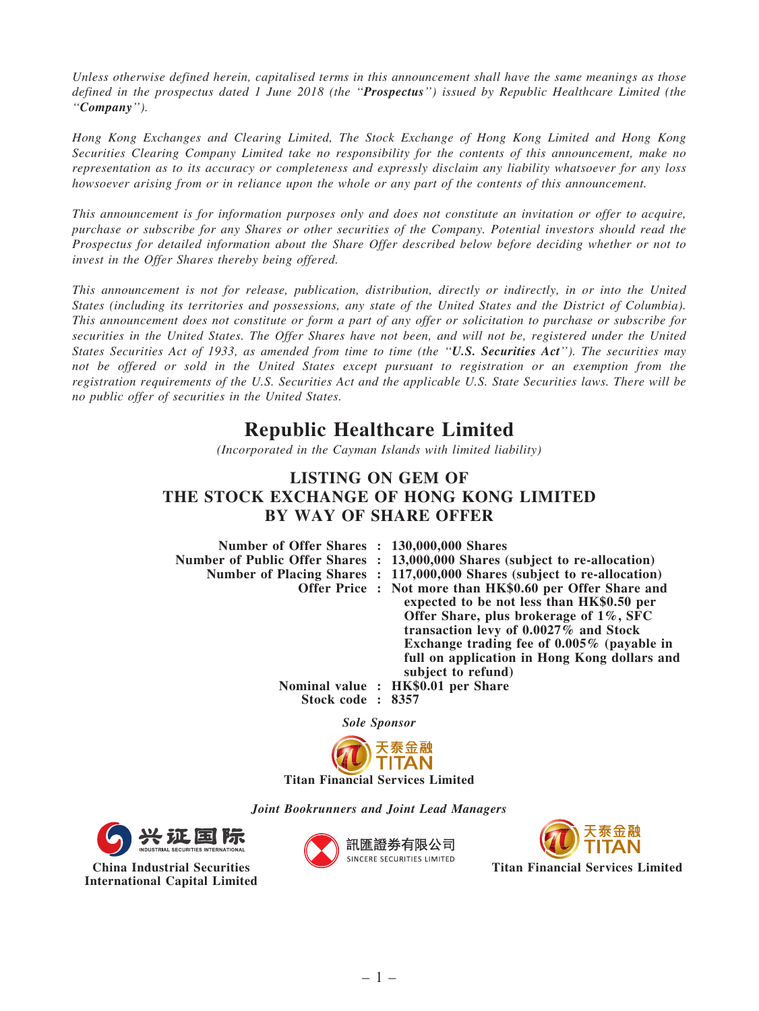*Unless otherwise defined herein, capitalised terms in this announcement shall have the same meanings as those defined in the prospectus dated 1 June 2018 (the* ''Prospectus''*) issued by Republic Healthcare Limited (the* ''Company''*).*

*Hong Kong Exchanges and Clearing Limited, The Stock Exchange of Hong Kong Limited and Hong Kong Securities Clearing Company Limited take no responsibility for the contents of this announcement, make no representation as to its accuracy or completeness and expressly disclaim any liability whatsoever for any loss howsoever arising from or in reliance upon the whole or any part of the contents of this announcement.*

*This announcement is for information purposes only and does not constitute an invitation or offer to acquire, purchase or subscribe for any Shares or other securities of the Company. Potential investors should read the Prospectus for detailed information about the Share Offer described below before deciding whether or not to invest in the Offer Shares thereby being offered.*

*This announcement is not for release, publication, distribution, directly or indirectly, in or into the United States (including its territories and possessions, any state of the United States and the District of Columbia). This announcement does not constitute or form a part of any offer or solicitation to purchase or subscribe for securities in the United States. The Offer Shares have not been, and will not be, registered under the United States Securities Act of 1933, as amended from time to time (the* ''U.S. Securities Act''*). The securities may not be offered or sold in the United States except pursuant to registration or an exemption from the registration requirements of the U.S. Securities Act and the applicable U.S. State Securities laws. There will be no public offer of securities in the United States.*

## Republic Healthcare Limited

*(Incorporated in the Cayman Islands with limited liability)*

## LISTING ON GEM OF THE STOCK EXCHANGE OF HONG KONG LIMITED BY WAY OF SHARE OFFER

| Number of Offer Shares : 130,000,000 Shares |                                                                              |
|---------------------------------------------|------------------------------------------------------------------------------|
|                                             | Number of Public Offer Shares : 13,000,000 Shares (subject to re-allocation) |
|                                             | Number of Placing Shares : 117,000,000 Shares (subject to re-allocation)     |
|                                             | Offer Price: Not more than HK\$0.60 per Offer Share and                      |
|                                             | expected to be not less than HK\$0.50 per                                    |
|                                             | Offer Share, plus brokerage of 1%, SFC                                       |
|                                             | transaction levy of 0.0027% and Stock                                        |
|                                             | Exchange trading fee of $0.005\%$ (payable in                                |
|                                             | full on application in Hong Kong dollars and                                 |
|                                             | subject to refund)                                                           |
|                                             | Nominal value : HK\$0.01 per Share                                           |
| Stock code: 8357                            |                                                                              |

Sole Sponsor



Joint Bookrunners and Joint Lead Managers



China Industrial Securities International Capital Limited





Titan Financial Services Limited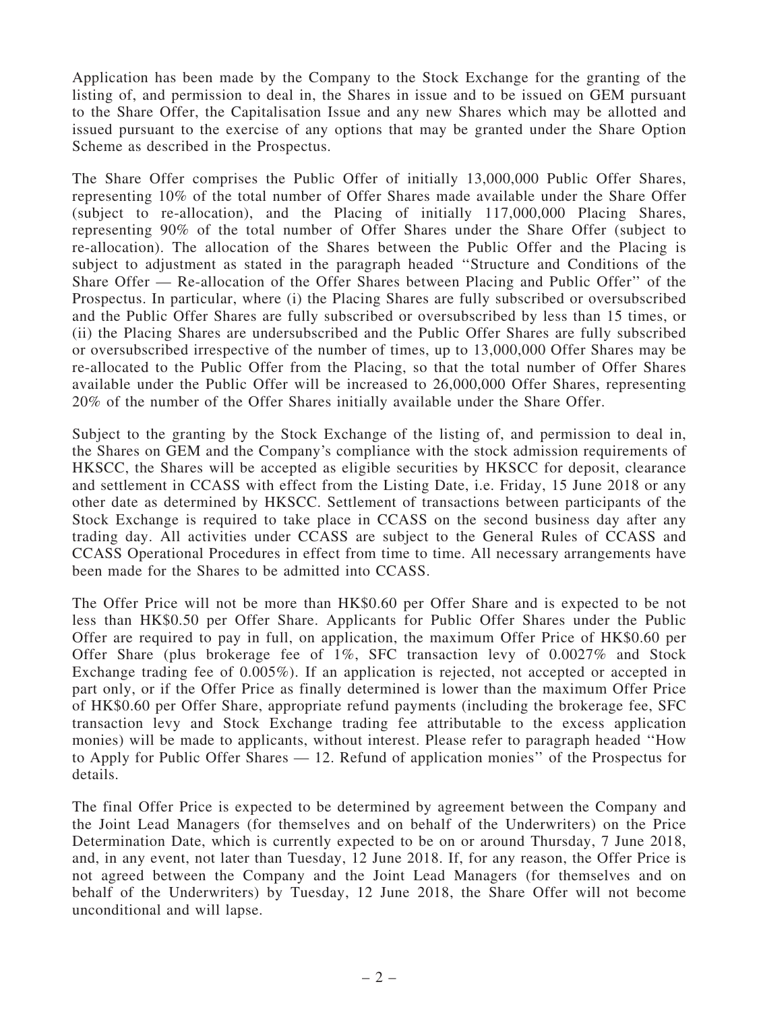Application has been made by the Company to the Stock Exchange for the granting of the listing of, and permission to deal in, the Shares in issue and to be issued on GEM pursuant to the Share Offer, the Capitalisation Issue and any new Shares which may be allotted and issued pursuant to the exercise of any options that may be granted under the Share Option Scheme as described in the Prospectus.

The Share Offer comprises the Public Offer of initially 13,000,000 Public Offer Shares, representing 10% of the total number of Offer Shares made available under the Share Offer (subject to re-allocation), and the Placing of initially 117,000,000 Placing Shares, representing 90% of the total number of Offer Shares under the Share Offer (subject to re-allocation). The allocation of the Shares between the Public Offer and the Placing is subject to adjustment as stated in the paragraph headed ''Structure and Conditions of the Share Offer — Re-allocation of the Offer Shares between Placing and Public Offer'' of the Prospectus. In particular, where (i) the Placing Shares are fully subscribed or oversubscribed and the Public Offer Shares are fully subscribed or oversubscribed by less than 15 times, or (ii) the Placing Shares are undersubscribed and the Public Offer Shares are fully subscribed or oversubscribed irrespective of the number of times, up to 13,000,000 Offer Shares may be re-allocated to the Public Offer from the Placing, so that the total number of Offer Shares available under the Public Offer will be increased to 26,000,000 Offer Shares, representing 20% of the number of the Offer Shares initially available under the Share Offer.

Subject to the granting by the Stock Exchange of the listing of, and permission to deal in, the Shares on GEM and the Company's compliance with the stock admission requirements of HKSCC, the Shares will be accepted as eligible securities by HKSCC for deposit, clearance and settlement in CCASS with effect from the Listing Date, i.e. Friday, 15 June 2018 or any other date as determined by HKSCC. Settlement of transactions between participants of the Stock Exchange is required to take place in CCASS on the second business day after any trading day. All activities under CCASS are subject to the General Rules of CCASS and CCASS Operational Procedures in effect from time to time. All necessary arrangements have been made for the Shares to be admitted into CCASS.

The Offer Price will not be more than HK\$0.60 per Offer Share and is expected to be not less than HK\$0.50 per Offer Share. Applicants for Public Offer Shares under the Public Offer are required to pay in full, on application, the maximum Offer Price of HK\$0.60 per Offer Share (plus brokerage fee of 1%, SFC transaction levy of 0.0027% and Stock Exchange trading fee of 0.005%). If an application is rejected, not accepted or accepted in part only, or if the Offer Price as finally determined is lower than the maximum Offer Price of HK\$0.60 per Offer Share, appropriate refund payments (including the brokerage fee, SFC transaction levy and Stock Exchange trading fee attributable to the excess application monies) will be made to applicants, without interest. Please refer to paragraph headed ''How to Apply for Public Offer Shares — 12. Refund of application monies'' of the Prospectus for details.

The final Offer Price is expected to be determined by agreement between the Company and the Joint Lead Managers (for themselves and on behalf of the Underwriters) on the Price Determination Date, which is currently expected to be on or around Thursday, 7 June 2018, and, in any event, not later than Tuesday, 12 June 2018. If, for any reason, the Offer Price is not agreed between the Company and the Joint Lead Managers (for themselves and on behalf of the Underwriters) by Tuesday, 12 June 2018, the Share Offer will not become unconditional and will lapse.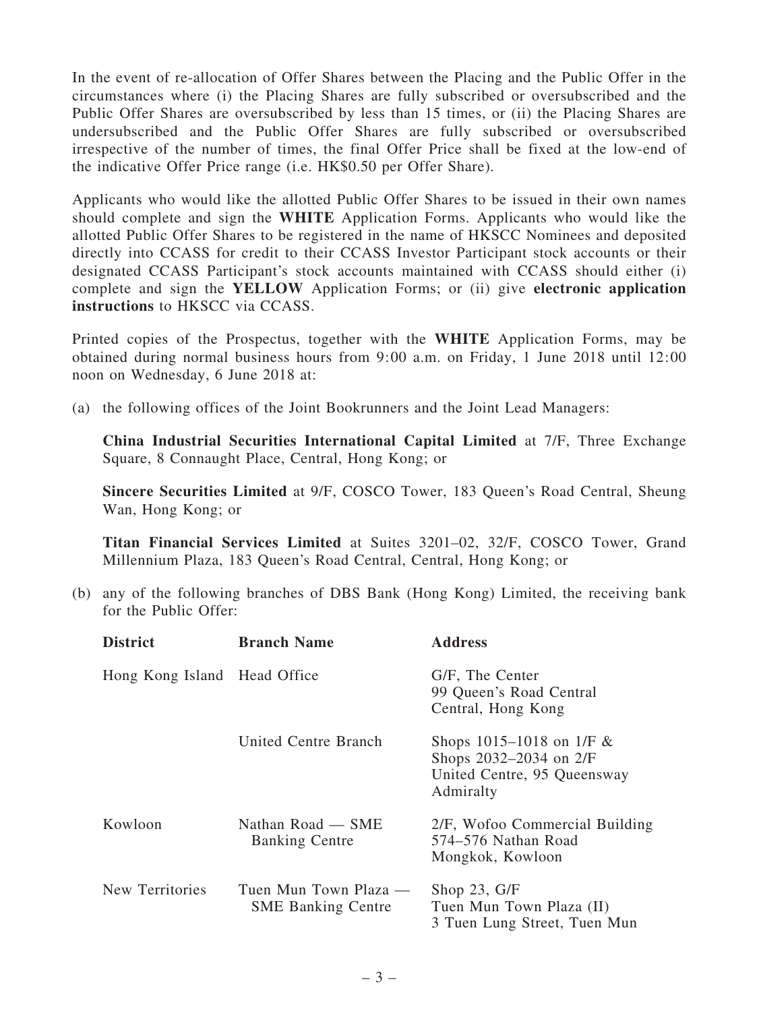In the event of re-allocation of Offer Shares between the Placing and the Public Offer in the circumstances where (i) the Placing Shares are fully subscribed or oversubscribed and the Public Offer Shares are oversubscribed by less than 15 times, or (ii) the Placing Shares are undersubscribed and the Public Offer Shares are fully subscribed or oversubscribed irrespective of the number of times, the final Offer Price shall be fixed at the low-end of the indicative Offer Price range (i.e. HK\$0.50 per Offer Share).

Applicants who would like the allotted Public Offer Shares to be issued in their own names should complete and sign the WHITE Application Forms. Applicants who would like the allotted Public Offer Shares to be registered in the name of HKSCC Nominees and deposited directly into CCASS for credit to their CCASS Investor Participant stock accounts or their designated CCASS Participant's stock accounts maintained with CCASS should either (i) complete and sign the YELLOW Application Forms; or (ii) give electronic application instructions to HKSCC via CCASS.

Printed copies of the Prospectus, together with the WHITE Application Forms, may be obtained during normal business hours from 9:00 a.m. on Friday, 1 June 2018 until 12:00 noon on Wednesday, 6 June 2018 at:

(a) the following offices of the Joint Bookrunners and the Joint Lead Managers:

China Industrial Securities International Capital Limited at 7/F, Three Exchange Square, 8 Connaught Place, Central, Hong Kong; or

Sincere Securities Limited at 9/F, COSCO Tower, 183 Queen's Road Central, Sheung Wan, Hong Kong; or

Titan Financial Services Limited at Suites 3201–02, 32/F, COSCO Tower, Grand Millennium Plaza, 183 Queen's Road Central, Central, Hong Kong; or

(b) any of the following branches of DBS Bank (Hong Kong) Limited, the receiving bank for the Public Offer:

| <b>District</b>              | <b>Branch Name</b>                                 | <b>Address</b>                                                                                       |
|------------------------------|----------------------------------------------------|------------------------------------------------------------------------------------------------------|
| Hong Kong Island Head Office |                                                    | G/F, The Center<br>99 Queen's Road Central<br>Central, Hong Kong                                     |
|                              | United Centre Branch                               | Shops $1015 - 1018$ on $1/F &$<br>Shops 2032–2034 on 2/F<br>United Centre, 95 Queensway<br>Admiralty |
| Kowloon                      | Nathan Road — SME<br><b>Banking Centre</b>         | 2/F, Wofoo Commercial Building<br>574–576 Nathan Road<br>Mongkok, Kowloon                            |
| New Territories              | Tuen Mun Town Plaza —<br><b>SME Banking Centre</b> | Shop $23, G/F$<br>Tuen Mun Town Plaza (II)<br>3 Tuen Lung Street, Tuen Mun                           |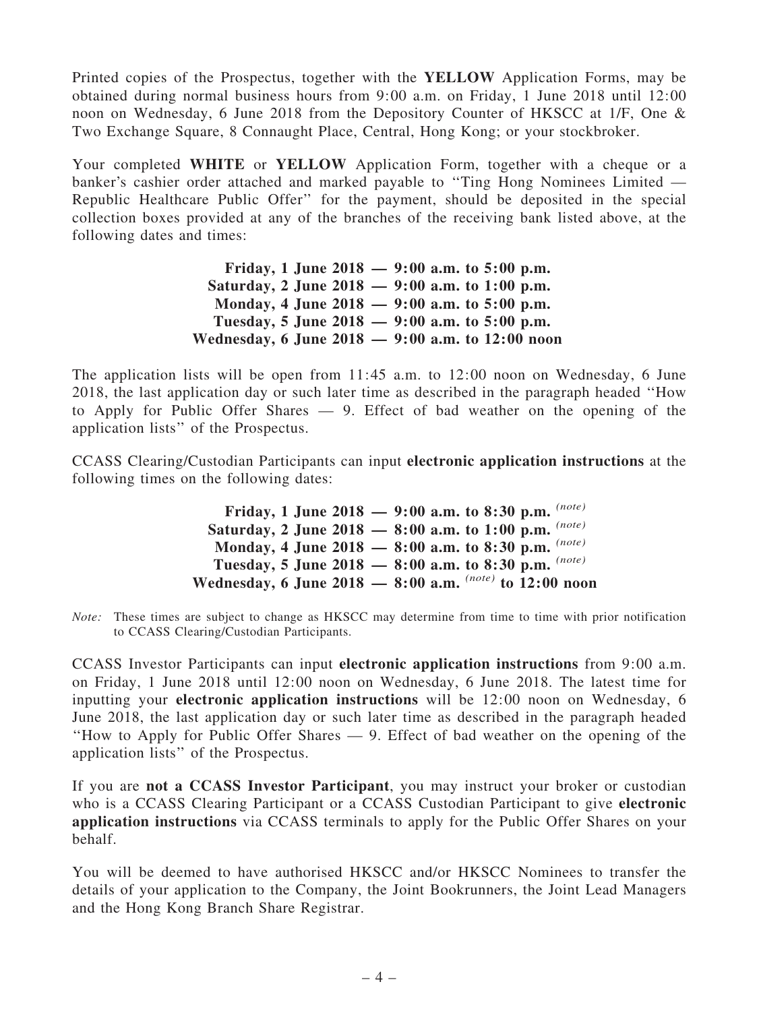Printed copies of the Prospectus, together with the YELLOW Application Forms, may be obtained during normal business hours from 9:00 a.m. on Friday, 1 June 2018 until 12:00 noon on Wednesday, 6 June 2018 from the Depository Counter of HKSCC at 1/F, One & Two Exchange Square, 8 Connaught Place, Central, Hong Kong; or your stockbroker.

Your completed WHITE or YELLOW Application Form, together with a cheque or a banker's cashier order attached and marked payable to ''Ting Hong Nominees Limited — Republic Healthcare Public Offer'' for the payment, should be deposited in the special collection boxes provided at any of the branches of the receiving bank listed above, at the following dates and times:

> Friday, 1 June 2018 — 9:00 a.m. to 5:00 p.m. Saturday, 2 June 2018 — 9:00 a.m. to 1:00 p.m. Monday, 4 June 2018 — 9:00 a.m. to 5:00 p.m. Tuesday, 5 June 2018 — 9:00 a.m. to 5:00 p.m. Wednesday, 6 June 2018 — 9:00 a.m. to 12:00 noon

The application lists will be open from  $11:45$  a.m. to  $12:00$  noon on Wednesday, 6 June 2018, the last application day or such later time as described in the paragraph headed ''How to Apply for Public Offer Shares — 9. Effect of bad weather on the opening of the application lists'' of the Prospectus.

CCASS Clearing/Custodian Participants can input electronic application instructions at the following times on the following dates:

> Friday, 1 June 2018 — 9:00 a.m. to 8:30 p.m. *(note)* Saturday, 2 June 2018 — 8:00 a.m. to 1:00 p.m. *(note)* Monday, 4 June 2018 — 8:00 a.m. to 8:30 p.m. *(note)* Tuesday, 5 June 2018 — 8:00 a.m. to 8:30 p.m. *(note)* Wednesday, 6 June 2018 — 8:00 a.m. *(note)* to 12:00 noon

*Note:* These times are subject to change as HKSCC may determine from time to time with prior notification to CCASS Clearing/Custodian Participants.

CCASS Investor Participants can input electronic application instructions from 9:00 a.m. on Friday, 1 June 2018 until 12:00 noon on Wednesday, 6 June 2018. The latest time for inputting your electronic application instructions will be 12:00 noon on Wednesday, 6 June 2018, the last application day or such later time as described in the paragraph headed ''How to Apply for Public Offer Shares — 9. Effect of bad weather on the opening of the application lists'' of the Prospectus.

If you are not a CCASS Investor Participant, you may instruct your broker or custodian who is a CCASS Clearing Participant or a CCASS Custodian Participant to give electronic application instructions via CCASS terminals to apply for the Public Offer Shares on your behalf.

You will be deemed to have authorised HKSCC and/or HKSCC Nominees to transfer the details of your application to the Company, the Joint Bookrunners, the Joint Lead Managers and the Hong Kong Branch Share Registrar.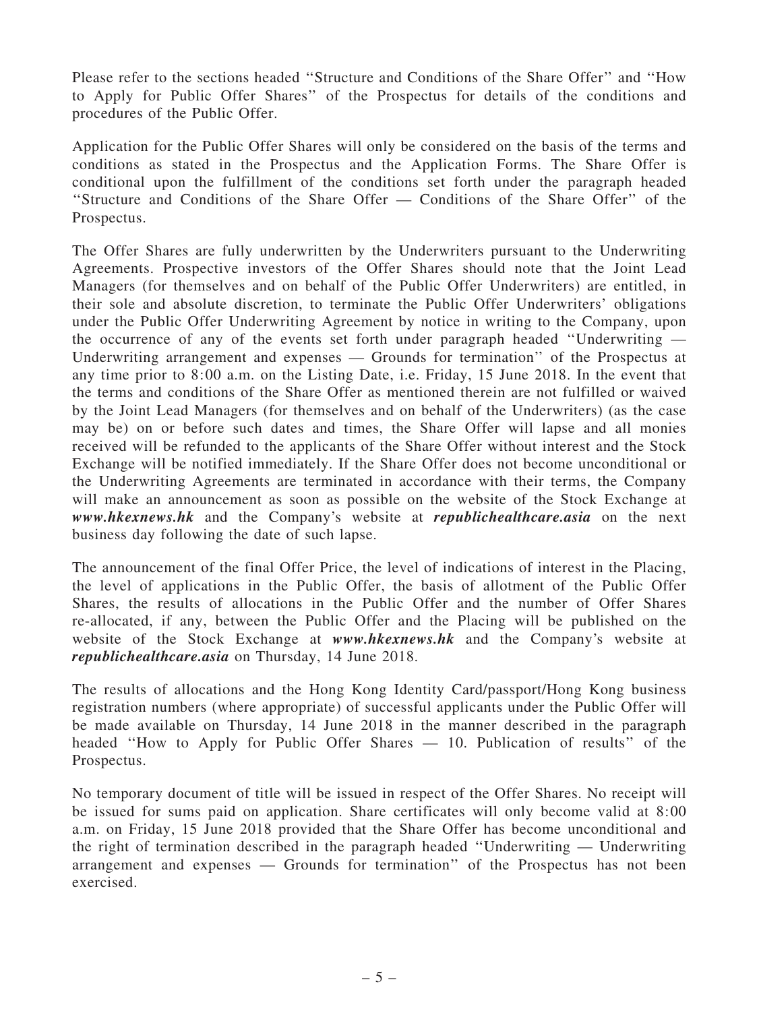Please refer to the sections headed ''Structure and Conditions of the Share Offer'' and ''How to Apply for Public Offer Shares'' of the Prospectus for details of the conditions and procedures of the Public Offer.

Application for the Public Offer Shares will only be considered on the basis of the terms and conditions as stated in the Prospectus and the Application Forms. The Share Offer is conditional upon the fulfillment of the conditions set forth under the paragraph headed "Structure and Conditions of the Share Offer — Conditions of the Share Offer" of the Prospectus.

The Offer Shares are fully underwritten by the Underwriters pursuant to the Underwriting Agreements. Prospective investors of the Offer Shares should note that the Joint Lead Managers (for themselves and on behalf of the Public Offer Underwriters) are entitled, in their sole and absolute discretion, to terminate the Public Offer Underwriters' obligations under the Public Offer Underwriting Agreement by notice in writing to the Company, upon the occurrence of any of the events set forth under paragraph headed ''Underwriting — Underwriting arrangement and expenses — Grounds for termination'' of the Prospectus at any time prior to 8:00 a.m. on the Listing Date, i.e. Friday, 15 June 2018. In the event that the terms and conditions of the Share Offer as mentioned therein are not fulfilled or waived by the Joint Lead Managers (for themselves and on behalf of the Underwriters) (as the case may be) on or before such dates and times, the Share Offer will lapse and all monies received will be refunded to the applicants of the Share Offer without interest and the Stock Exchange will be notified immediately. If the Share Offer does not become unconditional or the Underwriting Agreements are terminated in accordance with their terms, the Company will make an announcement as soon as possible on the website of the Stock Exchange at www.hkexnews.hk and the Company's website at republichealthcare.asia on the next business day following the date of such lapse.

The announcement of the final Offer Price, the level of indications of interest in the Placing, the level of applications in the Public Offer, the basis of allotment of the Public Offer Shares, the results of allocations in the Public Offer and the number of Offer Shares re-allocated, if any, between the Public Offer and the Placing will be published on the website of the Stock Exchange at www.hkexnews.hk and the Company's website at republichealthcare.asia on Thursday, 14 June 2018.

The results of allocations and the Hong Kong Identity Card/passport/Hong Kong business registration numbers (where appropriate) of successful applicants under the Public Offer will be made available on Thursday, 14 June 2018 in the manner described in the paragraph headed ''How to Apply for Public Offer Shares — 10. Publication of results'' of the Prospectus.

No temporary document of title will be issued in respect of the Offer Shares. No receipt will be issued for sums paid on application. Share certificates will only become valid at 8:00 a.m. on Friday, 15 June 2018 provided that the Share Offer has become unconditional and the right of termination described in the paragraph headed ''Underwriting — Underwriting arrangement and expenses — Grounds for termination'' of the Prospectus has not been exercised.